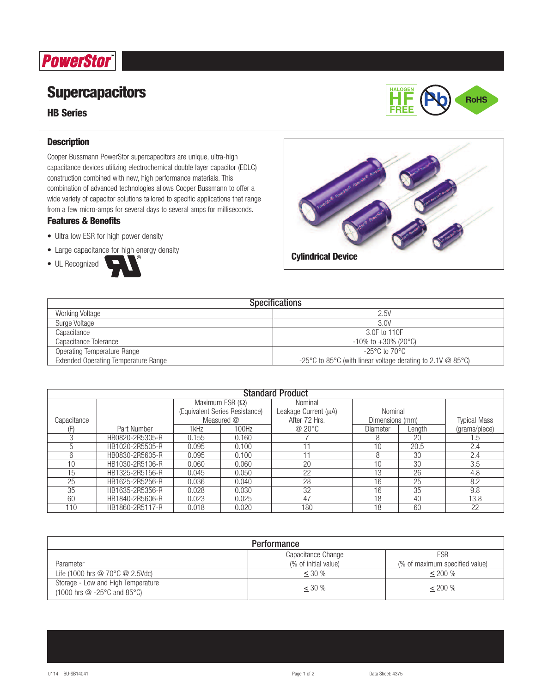# **PowerStor**

## **Supercapacitors**

## **HB Series**



### **Description**

Cooper Bussmann PowerStor supercapacitors are unique, ultra-high capacitance devices utilizing electrochemical double layer capacitor (EDLC) construction combined with new, high performance materials. This combination of advanced technologies allows Cooper Bussmann to offer a wide variety of capacitor solutions tailored to specific applications that range from a few micro-amps for several days to several amps for milliseconds.

### **Features & Benefits**

- Ultra low ESR for high power density
- Large capacitance for high energy density







| <b>Specifications</b>                       |                                                                        |  |  |  |
|---------------------------------------------|------------------------------------------------------------------------|--|--|--|
| Working Voltage                             | 2.5V                                                                   |  |  |  |
| Surge Voltage                               | 3.0V                                                                   |  |  |  |
| Capacitance                                 | 3.0F to 110F                                                           |  |  |  |
| Capacitance Tolerance                       | $-10\%$ to $+30\%$ (20 °C)                                             |  |  |  |
| Operating Temperature Range                 | -25°C to 70°C.                                                         |  |  |  |
| <b>Extended Operating Temperature Range</b> | -25 °C to 85 °C (with linear voltage derating to 2.1 V $\omega$ 85 °C) |  |  |  |

| <b>Standard Product</b> |                 |                                |       |                      |                 |        |                     |
|-------------------------|-----------------|--------------------------------|-------|----------------------|-----------------|--------|---------------------|
|                         |                 | Maximum ESR $(\Omega)$         |       | Nominal              |                 |        |                     |
|                         |                 | (Equivalent Series Resistance) |       | Leakage Current (µA) | Nominal         |        |                     |
| Capacitance             |                 | Measured @                     |       | After 72 Hrs.        | Dimensions (mm) |        | <b>Typical Mass</b> |
|                         | Part Number     | 1kHz                           | 100Hz | @20°C                | Diameter        | Lenath | (grams/piece)       |
| 3                       | HB0820-2R5305-R | 0.155                          | 0.160 |                      | 8               | 20     | $.5\,$              |
| $\mathcal{D}$           | HB1020-2R5505-R | 0.095                          | 0.100 | 11                   | 10              | 20.5   | 2.4                 |
| 6                       | HB0830-2R5605-R | 0.095                          | 0.100 | 11                   | 8               | 30     | 2.4                 |
| 10                      | HB1030-2R5106-R | 0.060                          | 0.060 | 20                   | 10              | 30     | 3.5                 |
| 15                      | HB1325-2R5156-R | 0.045                          | 0.050 | 22                   | 13              | 26     | 4.8                 |
| 25                      | HB1625-2R5256-R | 0.036                          | 0.040 | 28                   | 16              | 25     | 8.2                 |
| 35                      | HB1635-2R5356-R | 0.028                          | 0.030 | 32                   | 16              | 35     | 9.8                 |
| 60                      | HB1840-2R5606-R | 0.023                          | 0.025 | 47                   | 18              | 40     | 13.8                |
| 110                     | HB1860-2R5117-R | 0.018                          | 0.020 | 180                  | 18              | 60     | 22                  |

| Performance                                                                                                           |                      |                                |  |  |
|-----------------------------------------------------------------------------------------------------------------------|----------------------|--------------------------------|--|--|
| ESR<br>Capacitance Change                                                                                             |                      |                                |  |  |
| Parameter                                                                                                             | (% of initial value) | (% of maximum specified value) |  |  |
| Life (1000 hrs $@$ 70 $°C$ $@$ 2.5Vdc)                                                                                | $< 30\%$             | $< 200\%$                      |  |  |
| Storage - Low and High Temperature<br>$(1000 \text{ hrs} \t{Q} - 25^{\circ}\text{C} \text{ and } 85^{\circ}\text{C})$ | $<$ 30 %             | $< 200\%$                      |  |  |